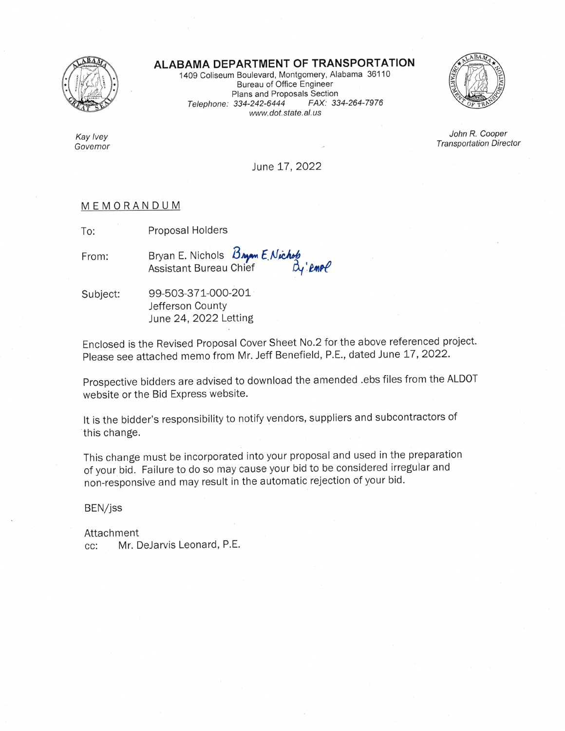

### ALABAMA DEPARTMENT OF TRANSPORTATION

1409 Coliseum Boulevard, Montgomery, Alabama 36110 Bureau of Office Engineer Plans and Proposals Section Telephone: 334-242-6444 FAX: 334-264-7976 www.dot.state.al.us



John R. Cooper **Transportation Director** 

Kay Ivey Governor

June 17, 2022

### MEMORANDUM

Proposal Holders To:

Bryan E. Nichols Bryan E. Nichols<br>Chief By'emol From:

99-503-371-000-201 Subject: Jefferson County June 24, 2022 Letting

Enclosed is the Revised Proposal Cover Sheet No.2 for the above referenced project. Please see attached memo from Mr. Jeff Benefield, P.E., dated June 17, 2022.

Prospective bidders are advised to download the amended .ebs files from the ALDOT website or the Bid Express website.

It is the bidder's responsibility to notify vendors, suppliers and subcontractors of this change.

This change must be incorporated into your proposal and used in the preparation of your bid. Failure to do so may cause your bid to be considered irregular and non-responsive and may result in the automatic rejection of your bid.

BEN/jss

Attachment Mr. DeJarvis Leonard, P.E. CC: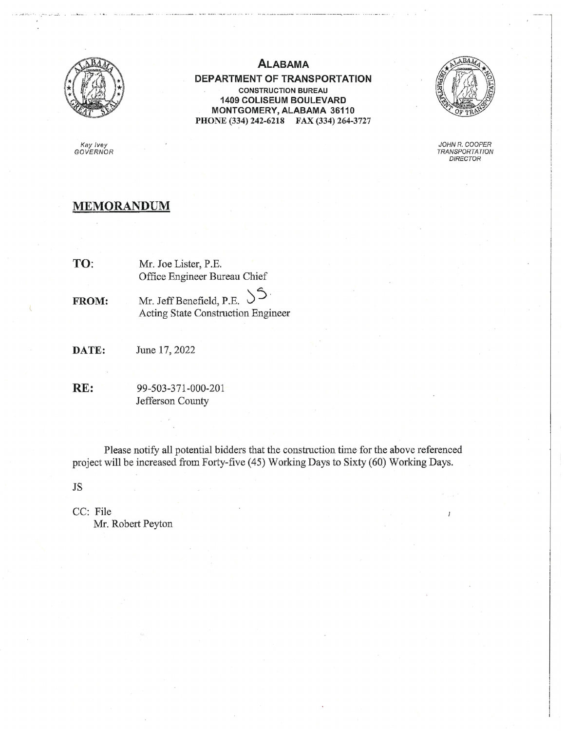

### **ALABAMA**

DEPARTMENT OF TRANSPORTATION **CONSTRUCTION BUREAU** 1409 COLISEUM BOULEVARD MONTGOMERY, ALABAMA 36110 PHONE (334) 242-6218 FAX (334) 264-3727



JOHN R. COOPER TRANSPORTATION<br>DIRECTOR

# Kay Ivey<br>GOVERNOR

### **MEMORANDUM**

- TO: Mr. Joe Lister, P.E. Office Engineer Bureau Chief
- ڪ Mr. Jeff Benefield, P.E. FROM: Acting State Construction Engineer
- DATE: June 17, 2022
- RE: 99-503-371-000-201 Jefferson County

Please notify all potential bidders that the construction time for the above referenced project will be increased from Forty-five (45) Working Days to Sixty (60) Working Days.

 $\mathrm{JS}$ 

CC: File Mr. Robert Peyton